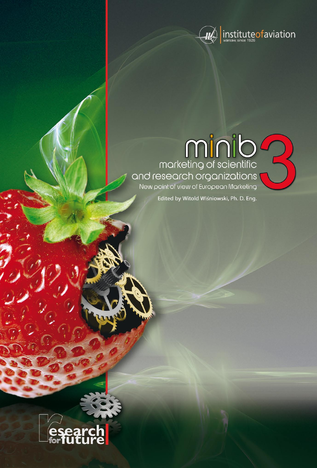

# 

Edited by Witold Wiśniowski, Ph. D. Eng.

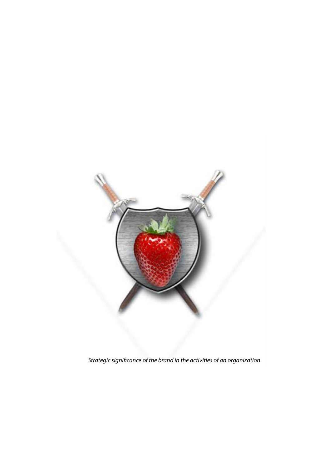

*Strategic significance of the brand in the activities of an organization*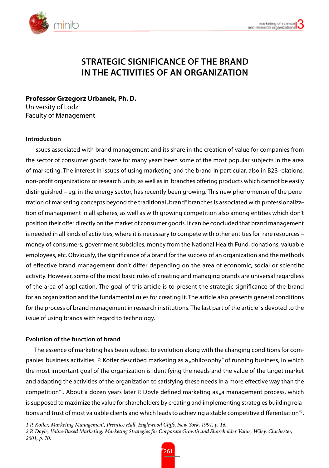

# **Strategic significance of the brand in the activities of an organization**

**Professor Grzegorz Urbanek, Ph. D.** University of Lodz Faculty of Management

## **Introduction**

Issues associated with brand management and its share in the creation of value for companies from the sector of consumer goods have for many years been some of the most popular subjects in the area of marketing. The interest in issues of using marketing and the brand in particular, also in B2B relations, non-profit organizations or research units, as well as in branches offering products which cannot be easily distinguished – eg. in the energy sector, has recently been growing. This new phenomenon of the penetration of marketing concepts beyond the traditional "brand" branches is associated with professionalization of management in all spheres, as well as with growing competition also among entities which don't position their offer directly on the market of consumer goods. It can be concluded that brand management is needed in all kinds of activities, where it is necessary to compete with other entities for rare resources – money of consumers, government subsidies, money from the National Health Fund, donations, valuable employees, etc. Obviously, the significance of a brand for the success of an organization and the methods of effective brand management don't differ depending on the area of economic, social or scientific activity. However, some of the most basic rules of creating and managing brands are universal regardless of the area of application. The goal of this article is to present the strategic significance of the brand for an organization and the fundamental rules for creating it. The article also presents general conditions for the process of brand management in research institutions. The last part of the article is devoted to the issue of using brands with regard to technology.

# **Evolution of the function of brand**

The essence of marketing has been subject to evolution along with the changing conditions for companies' business activities. P. Kotler described marketing as a "philosophy" of running business, in which the most important goal of the organization is identifying the needs and the value of the target market and adapting the activities of the organization to satisfying these needs in a more effective way than the competition"! About a dozen years later P. Doyle defined marketing as "a management process, which is supposed to maximize the value for shareholders by creating and implementing strategies building relations and trust of most valuable clients and which leads to achieving a stable competitive differentiation"<sup>2</sup>.

*1 P. Kotler, Marketing Management, Prentice Hall, Englewood Cliffs, New York, 1991, p. 16.*

*<sup>2</sup> P. Doyle, Value-Based Marketing: Marketing Strategies for Corporate Growth and Shareholder Value, Wiley, Chichester, 2001, p. 70.*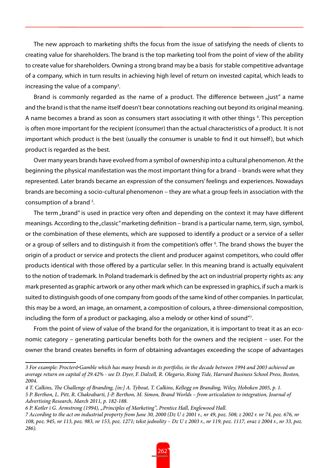The new approach to marketing shifts the focus from the issue of satisfying the needs of clients to creating value for shareholders. The brand is the top marketing tool from the point of view of the ability to create value for shareholders. Owning a strong brand may be a basis for stable competitive advantage of a company, which in turn results in achieving high level of return on invested capital, which leads to increasing the value of a company $^3$ .

Brand is commonly regarded as the name of a product. The difference between "just" a name and the brand is that the name itself doesn't bear connotations reaching out beyond its original meaning. A name becomes a brand as soon as consumers start associating it with other things <sup>4</sup>. This perception is often more important for the recipient (consumer) than the actual characteristics of a product. It is not important which product is the best (usually the consumer is unable to find it out himself), but which product is regarded as the best.

Over many years brands have evolved from a symbol of ownership into a cultural phenomenon. At the beginning the physical manifestation was the most important thing for a brand – brands were what they represented. Later brands became an expression of the consumers' feelings and experiences. Nowadays brands are becoming a socio-cultural phenomenon – they are what a group feels in association with the consumption of a brand <sup>5</sup>.

The term "brand" is used in practice very often and depending on the context it may have different meanings. According to the "classic" marketing definition – brand is a particular name, term, sign, symbol, or the combination of these elements, which are supposed to identify a product or a service of a seller or a group of sellers and to distinguish it from the competition's offer 6 . The brand shows the buyer the origin of a product or service and protects the client and producer against competitors, who could offer products identical with those offered by a particular seller. In this meaning brand is actually equivalent to the notion of trademark. In Poland trademark is defined by the act on industrial property rights as: any mark presented as graphic artwork or any other mark which can be expressed in graphics, if such a mark is suited to distinguish goods of one company from goods of the same kind of other companies. In particular, this may be a word, an image, an ornament, a composition of colours, a three-dimensional composition, including the form of a product or packaging, also a melody or other kind of sound"7 .

From the point of view of value of the brand for the organization, it is important to treat it as an economic category – generating particular benefits both for the owners and the recipient – user. For the owner the brand creates benefits in form of obtaining advantages exceeding the scope of advantages

*<sup>3</sup> For example: Procter&Gamble which has many brands in its portfolio, in the decade between 1994 and 2003 achieved an average return on capital of 29.42% - see D. Dyer, F. Dalzell, R. Olegario, Rising Tide, Harvard Business School Press, Boston, 2004.*

*<sup>4</sup> T. Calkins, The Challenge of Branding, [in:] A. Tybout, T. Calkins, Kellogg on Branding, Wiley, Hoboken 2005, p. 1. 5 P. Berthon, L. Pitt, R. Chakrabarti, J-P. Berthon, M. Simon, Brand Worlds – from articulation to integration, Journal of Advertising Research, March 2011, p. 182-188.*

*<sup>6</sup> P. Kotler i G. Armstrong (1994), "Principles of Marketing", Prentice Hall, Englewood Hall.*

*<sup>7</sup> According to the act on industrial property from June 30, 2000 (Dz U z 2001 r., nr 49, poz. 508; z 2002 r. nr 74, poz. 676, nr 108, poz. 945, nr 113, poz. 983, nr 153, poz. 1271; tekst jednolity – Dz U z 2003 r., nr 119, poz. 1117, oraz z 2004 r., nr 33, poz. 286).*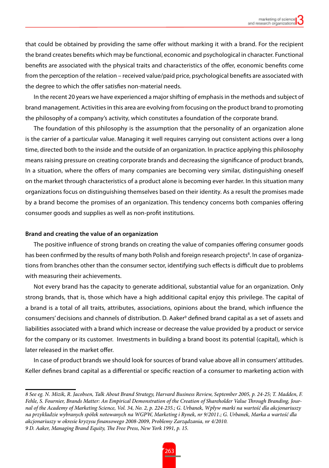that could be obtained by providing the same offer without marking it with a brand. For the recipient the brand creates benefits which may be functional, economic and psychological in character. Functional benefits are associated with the physical traits and characteristics of the offer, economic benefits come from the perception of the relation – received value/paid price, psychological benefits are associated with the degree to which the offer satisfies non-material needs.

In the recent 20 years we have experienced a major shifting of emphasis in the methods and subject of brand management. Activities in this area are evolving from focusing on the product brand to promoting the philosophy of a company's activity, which constitutes a foundation of the corporate brand.

The foundation of this philosophy is the assumption that the personality of an organization alone is the carrier of a particular value. Managing it well requires carrying out consistent actions over a long time, directed both to the inside and the outside of an organization. In practice applying this philosophy means raising pressure on creating corporate brands and decreasing the significance of product brands, In a situation, where the offers of many companies are becoming very similar, distinguishing oneself on the market through characteristics of a product alone is becoming ever harder. In this situation many organizations focus on distinguishing themselves based on their identity. As a result the promises made by a brand become the promises of an organization. This tendency concerns both companies offering consumer goods and supplies as well as non-profit institutions.

#### **Brand and creating the value of an organization**

The positive influence of strong brands on creating the value of companies offering consumer goods has been confirmed by the results of many both Polish and foreign research projects<sup>8</sup>. In case of organizations from branches other than the consumer sector, identifying such effects is difficult due to problems with measuring their achievements.

Not every brand has the capacity to generate additional, substantial value for an organization. Only strong brands, that is, those which have a high additional capital enjoy this privilege. The capital of a brand is a total of all traits, attributes, associations, opinions about the brand, which influence the consumers' decisions and channels of distribution. D. Aaker<sup>9</sup> defined brand capital as a set of assets and liabilities associated with a brand which increase or decrease the value provided by a product or service for the company or its customer. Investments in building a brand boost its potential (capital), which is later released in the market offer.

In case of product brands we should look for sources of brand value above all in consumers' attitudes. Keller defines brand capital as a differential or specific reaction of a consumer to marketing action with

*<sup>8</sup> See eg. N. Mizik, R. Jacobsen, Talk About Brand Strategy, Harvard Business Review, September 2005, p. 24-25; T. Madden, F. Fehle, S. Fournier, Brands Matter: An Empirical Demonstration of the Creation of Shareholder Value Through Branding, Journal of the Academy of Marketing Science, Vol. 34, No. 2, p. 224-235.; G. Urbanek, Wpływ marki na wartość dla akcjonariuszy na przykładzie wybranych spółek notowanych na WGPW, Marketing i Rynek, nr 9/2011.; G. Urbanek, Marka a wartość dla akcjonariuszy w okresie kryzysu finansowego 2008-2009, Problemy Zarządzania, nr 4/2010.*

*<sup>9</sup> D. Aaker, Managing Brand Equity, The Free Press, New York 1991, p. 15.*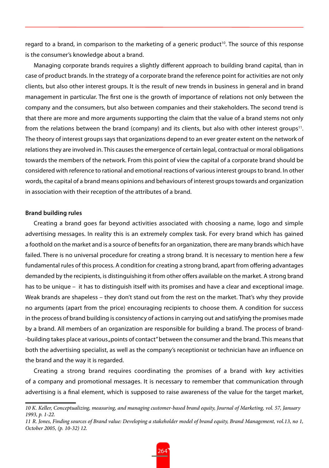regard to a brand, in comparison to the marketing of a generic product<sup>10</sup>. The source of this response is the consumer's knowledge about a brand.

Managing corporate brands requires a slightly different approach to building brand capital, than in case of product brands. In the strategy of a corporate brand the reference point for activities are not only clients, but also other interest groups. It is the result of new trends in business in general and in brand management in particular. The first one is the growth of importance of relations not only between the company and the consumers, but also between companies and their stakeholders. The second trend is that there are more and more arguments supporting the claim that the value of a brand stems not only from the relations between the brand (company) and its clients, but also with other interest groups<sup>11</sup>. The theory of interest groups says that organizations depend to an ever greater extent on the network of relations they are involved in. This causes the emergence of certain legal, contractual or moral obligations towards the members of the network. From this point of view the capital of a corporate brand should be considered with reference to rational and emotional reactions of various interest groups to brand. In other words, the capital of a brand means opinions and behaviours of interest groups towards and organization in association with their reception of the attributes of a brand.

#### **Brand building rules**

Creating a brand goes far beyond activities associated with choosing a name, logo and simple advertising messages. In reality this is an extremely complex task. For every brand which has gained a foothold on the market and is a source of benefits for an organization, there are many brands which have failed. There is no universal procedure for creating a strong brand. It is necessary to mention here a few fundamental rules of this process. A condition for creating a strong brand, apart from offering advantages demanded by the recipients, is distinguishing it from other offers available on the market. A strong brand has to be unique – it has to distinguish itself with its promises and have a clear and exceptional image. Weak brands are shapeless – they don't stand out from the rest on the market. That's why they provide no arguments (apart from the price) encouraging recipients to choose them. A condition for success in the process of brand building is consistency of actions in carrying out and satisfying the promises made by a brand. All members of an organization are responsible for building a brand. The process of brand- -building takes place at various "points of contact" between the consumer and the brand. This means that both the advertising specialist, as well as the company's receptionist or technician have an influence on the brand and the way it is regarded.

Creating a strong brand requires coordinating the promises of a brand with key activities of a company and promotional messages. It is necessary to remember that communication through advertising is a final element, which is supposed to raise awareness of the value for the target market,

*<sup>10</sup> K. Keller, Conceptualizing, measuring, and managing customer-based brand equity, Journal of Marketing, vol. 57, January 1993, p. 1-22.*

*<sup>11</sup> R. Jones, Finding sources of Brand value: Developing a stakeholder model of brand equity, Brand Management, vol.13, no 1, October 2005, (p. 10-32) 12.*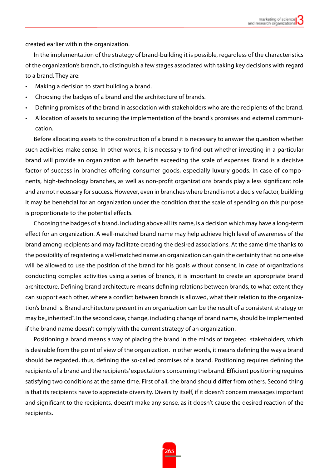created earlier within the organization.

In the implementation of the strategy of brand-building it is possible, regardless of the characteristics of the organization's branch, to distinguish a few stages associated with taking key decisions with regard to a brand. They are:

- Making a decision to start building a brand.
- Choosing the badges of a brand and the architecture of brands.
- Defining promises of the brand in association with stakeholders who are the recipients of the brand.
- Allocation of assets to securing the implementation of the brand's promises and external communication.

Before allocating assets to the construction of a brand it is necessary to answer the question whether such activities make sense. In other words, it is necessary to find out whether investing in a particular brand will provide an organization with benefits exceeding the scale of expenses. Brand is a decisive factor of success in branches offering consumer goods, especially luxury goods. In case of components, high-technology branches, as well as non-profit organizations brands play a less significant role and are not necessary for success. However, even in branches where brand is not a decisive factor, building it may be beneficial for an organization under the condition that the scale of spending on this purpose is proportionate to the potential effects.

Choosing the badges of a brand, including above all its name, is a decision which may have a long-term effect for an organization. A well-matched brand name may help achieve high level of awareness of the brand among recipients and may facilitate creating the desired associations. At the same time thanks to the possibility of registering a well-matched name an organization can gain the certainty that no one else will be allowed to use the position of the brand for his goals without consent. In case of organizations conducting complex activities using a series of brands, it is important to create an appropriate brand architecture. Defining brand architecture means defining relations between brands, to what extent they can support each other, where a conflict between brands is allowed, what their relation to the organization's brand is. Brand architecture present in an organization can be the result of a consistent strategy or may be "inherited". In the second case, change, including change of brand name, should be implemented if the brand name doesn't comply with the current strategy of an organization.

Positioning a brand means a way of placing the brand in the minds of targeted stakeholders, which is desirable from the point of view of the organization. In other words, it means defining the way a brand should be regarded, thus, defining the so-called promises of a brand. Positioning requires defining the recipients of a brand and the recipients' expectations concerning the brand. Efficient positioning requires satisfying two conditions at the same time. First of all, the brand should differ from others. Second thing is that its recipients have to appreciate diversity. Diversity itself, if it doesn't concern messages important and significant to the recipients, doesn't make any sense, as it doesn't cause the desired reaction of the recipients.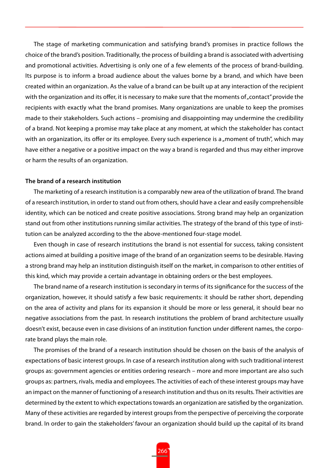The stage of marketing communication and satisfying brand's promises in practice follows the choice of the brand's position. Traditionally, the process of building a brand is associated with advertising and promotional activities. Advertising is only one of a few elements of the process of brand-building. Its purpose is to inform a broad audience about the values borne by a brand, and which have been created within an organization. As the value of a brand can be built up at any interaction of the recipient with the organization and its offer, it is necessary to make sure that the moments of "contact" provide the recipients with exactly what the brand promises. Many organizations are unable to keep the promises made to their stakeholders. Such actions – promising and disappointing may undermine the credibility of a brand. Not keeping a promise may take place at any moment, at which the stakeholder has contact with an organization, its offer or its employee. Every such experience is a "moment of truth", which may have either a negative or a positive impact on the way a brand is regarded and thus may either improve or harm the results of an organization.

# **The brand of a research institution**

The marketing of a research institution is a comparably new area of the utilization of brand. The brand of a research institution, in order to stand out from others, should have a clear and easily comprehensible identity, which can be noticed and create positive associations. Strong brand may help an organization stand out from other institutions running similar activities. The strategy of the brand of this type of institution can be analyzed according to the the above-mentioned four-stage model.

Even though in case of research institutions the brand is not essential for success, taking consistent actions aimed at building a positive image of the brand of an organization seems to be desirable. Having a strong brand may help an institution distinguish itself on the market, in comparison to other entities of this kind, which may provide a certain advantage in obtaining orders or the best employees.

The brand name of a research institution is secondary in terms of its significance for the success of the organization, however, it should satisfy a few basic requirements: it should be rather short, depending on the area of activity and plans for its expansion it should be more or less general, it should bear no negative associations from the past. In research institutions the problem of brand architecture usually doesn't exist, because even in case divisions of an institution function under different names, the corporate brand plays the main role.

The promises of the brand of a research institution should be chosen on the basis of the analysis of expectations of basic interest groups. In case of a research institution along with such traditional interest groups as: government agencies or entities ordering research – more and more important are also such groups as: partners, rivals, media and employees. The activities of each of these interest groups may have an impact on the manner of functioning of a research institution and thus on its results. Their activities are determined by the extent to which expectations towards an organization are satisfied by the organization. Many of these activities are regarded by interest groups from the perspective of perceiving the corporate brand. In order to gain the stakeholders' favour an organization should build up the capital of its brand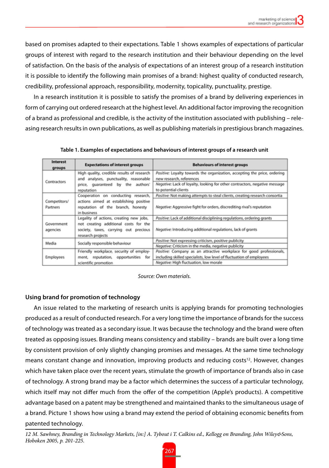based on promises adapted to their expectations. Table 1 shows examples of expectations of particular groups of interest with regard to the research institution and their behaviour depending on the level of satisfaction. On the basis of the analysis of expectations of an interest group of a research institution it is possible to identify the following main promises of a brand: highest quality of conducted research, credibility, professional approach, responsibility, modernity, topicality, punctuality, prestige.

In a research institution it is possible to satisfy the promises of a brand by delivering experiences in form of carrying out ordered research at the highest level. An additional factor improving the recognition of a brand as professional and credible, is the activity of the institution associated with publishing – releasing research results in own publications, as well as publishing materials in prestigious branch magazines.

| <b>Interest</b> | <b>Expectations of interest groups</b>     | <b>Behaviours of interest groups</b>                                        |
|-----------------|--------------------------------------------|-----------------------------------------------------------------------------|
| groups          |                                            |                                                                             |
| Contractors     | High quality, credible results of research | Positive: Loyalty towards the organization, accepting the price, ordering   |
|                 | and analyses, punctuality, reasonable      | new research, references                                                    |
|                 | price, guaranteed by the authors'          | Negative: Lack of loyalty, looking for other contractors, negative message  |
|                 | reputation                                 | to potential clients                                                        |
|                 | Cooperation on conducting research,        | Positive: Not making attempts to steal clients, creating research consortia |
| Competitors/    | actions aimed at establishing positive     |                                                                             |
| Partners        | reputation of the branch, honesty          | Negative: Aggressive fight for orders, discrediting rival's reputation      |
|                 | in business                                |                                                                             |
|                 | Legality of actions, creating new jobs,    | Positive: Lack of additional disciplining regulations, ordering grants      |
| Government      | not creating additional costs for the      |                                                                             |
| agencies        | society, taxes, carrying out precious      | Negative: Introducing additional regulations, lack of grants                |
|                 | research projects                          |                                                                             |
| Media           | Socially responsible behaviour             | Positive: Not expressing criticism, positive publicity                      |
|                 |                                            | Negative: Criticism in the media, negative publicity                        |
| Employees       | Friendly workplace, security of employ-    | Positive: Company as an attractive workplace for good professionals,        |
|                 | reputation, opportunities<br>for<br>ment   | including skilled specialists, low level of fluctuation of employees        |
|                 | scientific promotion                       | Negative: High fluctuation, low morale                                      |

**Table 1. Examples of expectations and behaviours of interest groups of a research unit**

*Source: Own materials.*

# **Using brand for promotion of technology**

An issue related to the marketing of research units is applying brands for promoting technologies produced as a result of conducted research. For a very long time the importance of brands for the success of technology was treated as a secondary issue. It was because the technology and the brand were often treated as opposing issues. Branding means consistency and stability – brands are built over a long time by consistent provision of only slightly changing promises and messages. At the same time technology means constant change and innovation, improving products and reducing costs<sup>12</sup>. However, changes which have taken place over the recent years, stimulate the growth of importance of brands also in case of technology. A strong brand may be a factor which determines the success of a particular technology, which itself may not differ much from the offer of the competition (Apple's products). A competitive advantage based on a patent may be strengthened and maintained thanks to the simultaneous usage of a brand. Picture 1 shows how using a brand may extend the period of obtaining economic benefits from patented technology.

*12 M. Sawhney, Branding in Technology Markets, [in:] A. Tybout i T. Calkins ed., Kellogg on Branding, John Wiley&Sons, Hoboken 2005, p. 201-225.*

267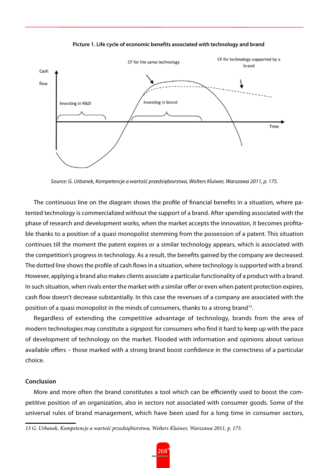

**Picture 1. Life cycle of economic benefits associated with technology and brand**

*Source: G. Urbanek, Kompetencje a wartość przedsiębiorstwa, Wolters Kluiwer, Warszawa 2011, p. 175.*

The continuous line on the diagram shows the profile of financial benefits in a situation, where patented technology is commercialized without the support of a brand. After spending associated with the phase of research and development works, when the market accepts the innovation, it becomes profitable thanks to a position of a quasi monopolist stemming from the possession of a patent. This situation continues till the moment the patent expires or a similar technology appears, which is associated with the competition's progress in technology. As a result, the benefits gained by the company are decreased. The dotted line shows the profile of cash flows in a situation, where technology is supported with a brand. However, applying a brand also makes clients associate a particular functionality of a product with a brand. In such situation, when rivals enter the market with a similar offer or even when patent protection expires, cash flow doesn't decrease substantially. In this case the revenues of a company are associated with the position of a quasi monopolist in the minds of consumers, thanks to a strong brand13.

Regardless of extending the competitive advantage of technology, brands from the area of modern technologies may constitute a signpost for consumers who find it hard to keep up with the pace of development of technology on the market. Flooded with information and opinions about various available offers – those marked with a strong brand boost confidence in the correctness of a particular choice.

#### **Conclusion**

More and more often the brand constitutes a tool which can be efficiently used to boost the competitive position of an organization, also in sectors not associated with consumer goods. Some of the universal rules of brand management, which have been used for a long time in consumer sectors,

*<sup>13</sup> G. Urbanek, Kompetencje a wartość przedsiębiorstwa, Wolters Kluiwer, Warszawa 2011, p. 175.*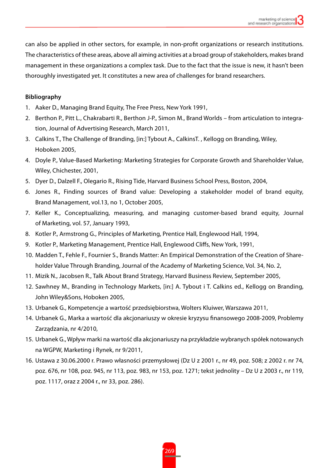can also be applied in other sectors, for example, in non-profit organizations or research institutions. The characteristics of these areas, above all aiming activities at a broad group of stakeholders, makes brand management in these organizations a complex task. Due to the fact that the issue is new, it hasn't been thoroughly investigated yet. It constitutes a new area of challenges for brand researchers.

# **Bibliography**

- 1. Aaker D., Managing Brand Equity, The Free Press, New York 1991,
- 2. Berthon P., Pitt L., Chakrabarti R., Berthon J-P., Simon M., Brand Worlds from articulation to integration, Journal of Advertising Research, March 2011,
- 3. Calkins T., The Challenge of Branding, [in:] Tybout A., CalkinsT. , Kellogg on Branding, Wiley, Hoboken 2005,
- 4. Doyle P., Value-Based Marketing: Marketing Strategies for Corporate Growth and Shareholder Value, Wiley, Chichester, 2001,
- 5. Dyer D., Dalzell F., Olegario R., Rising Tide, Harvard Business School Press, Boston, 2004,
- 6. Jones R., Finding sources of Brand value: Developing a stakeholder model of brand equity, Brand Management, vol.13, no 1, October 2005,
- 7. Keller K., Conceptualizing, measuring, and managing customer-based brand equity, Journal of Marketing, vol. 57, January 1993,
- 8. Kotler P., Armstrong G., Principles of Marketing, Prentice Hall, Englewood Hall, 1994,
- 9. Kotler P., Marketing Management, Prentice Hall, Englewood Cliffs, New York, 1991,
- 10. Madden T., Fehle F., Fournier S., Brands Matter: An Empirical Demonstration of the Creation of Shareholder Value Through Branding, Journal of the Academy of Marketing Science, Vol. 34, No. 2,
- 11. Mizik N., Jacobsen R., Talk About Brand Strategy, Harvard Business Review, September 2005,
- 12. Sawhney M., Branding in Technology Markets, [in:] A. Tybout i T. Calkins ed., Kellogg on Branding, John Wiley&Sons, Hoboken 2005,
- 13. Urbanek G., Kompetencje a wartość przedsiębiorstwa, Wolters Kluiwer, Warszawa 2011,
- 14. Urbanek G., Marka a wartość dla akcjonariuszy w okresie kryzysu finansowego 2008-2009, Problemy Zarządzania, nr 4/2010,
- 15. Urbanek G., Wpływ marki na wartość dla akcjonariuszy na przykładzie wybranych spółek notowanych na WGPW, Marketing i Rynek, nr 9/2011,
- 16. Ustawa z 30.06.2000 r. Prawo własności przemysłowej (Dz U z 2001 r., nr 49, poz. 508; z 2002 r. nr 74, poz. 676, nr 108, poz. 945, nr 113, poz. 983, nr 153, poz. 1271; tekst jednolity – Dz U z 2003 r., nr 119, poz. 1117, oraz z 2004 r., nr 33, poz. 286).